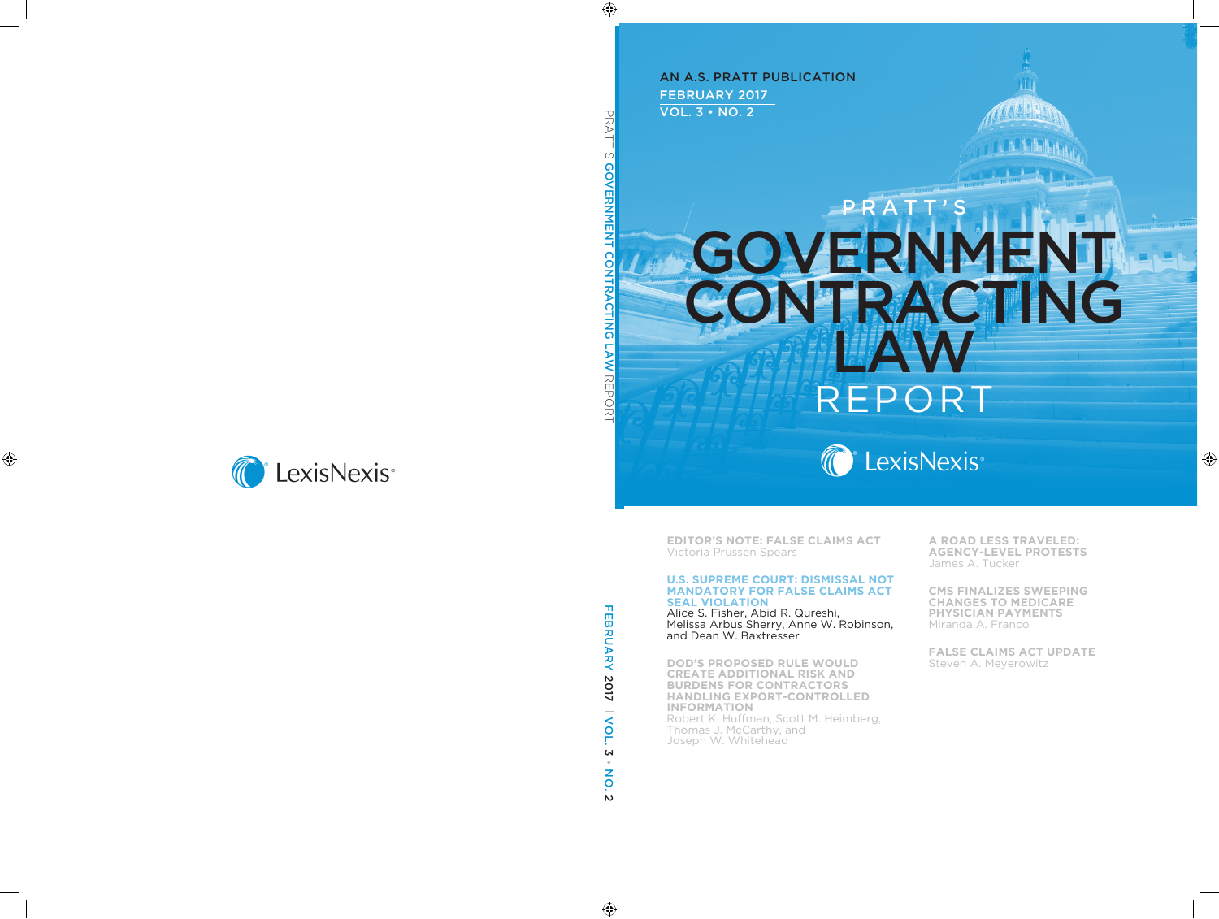FEBRUARY 2017 VOL. 3 • NO. 2 AN A.S. PRATT PUBLICATION

# **GOVERNMENT** CONTRACTING LAW REPOF PRATT'S



**EDITOR'S NOTE: FALSE CLAIMS ACT** Victoria Prussen Spears

#### **U.S. SUPREME COURT: DISMISSAL NOT MANDATORY FOR FALSE CLAIMS ACT SEAL VIOLATION**

Alice S. Fisher, Abid R. Qureshi, Melissa Arbus Sherry, Anne W. Robinson, and Dean W. Baxtresser

**DOD'S PROPOSED RULE WOULD CREATE ADDITIONAL RISK AND BURDENS FOR CONTRACTORS HANDLING EXPORT-CONTROLLED INFORMATION** Robert K. Huffman, Scott M. Heimberg, Thomas J. McCarthy, and Joseph W. Whitehead

**A ROAD LESS TRAVELED: AGENCY-LEVEL PROTESTS** James A. Tucker

**CMS FINALIZES SWEEPING CHANGES TO MEDICARE PHYSICIAN PAYMENTS** Miranda A. Franco

**FALSE CLAIMS ACT UPDATE** Steven A. Meyerowitz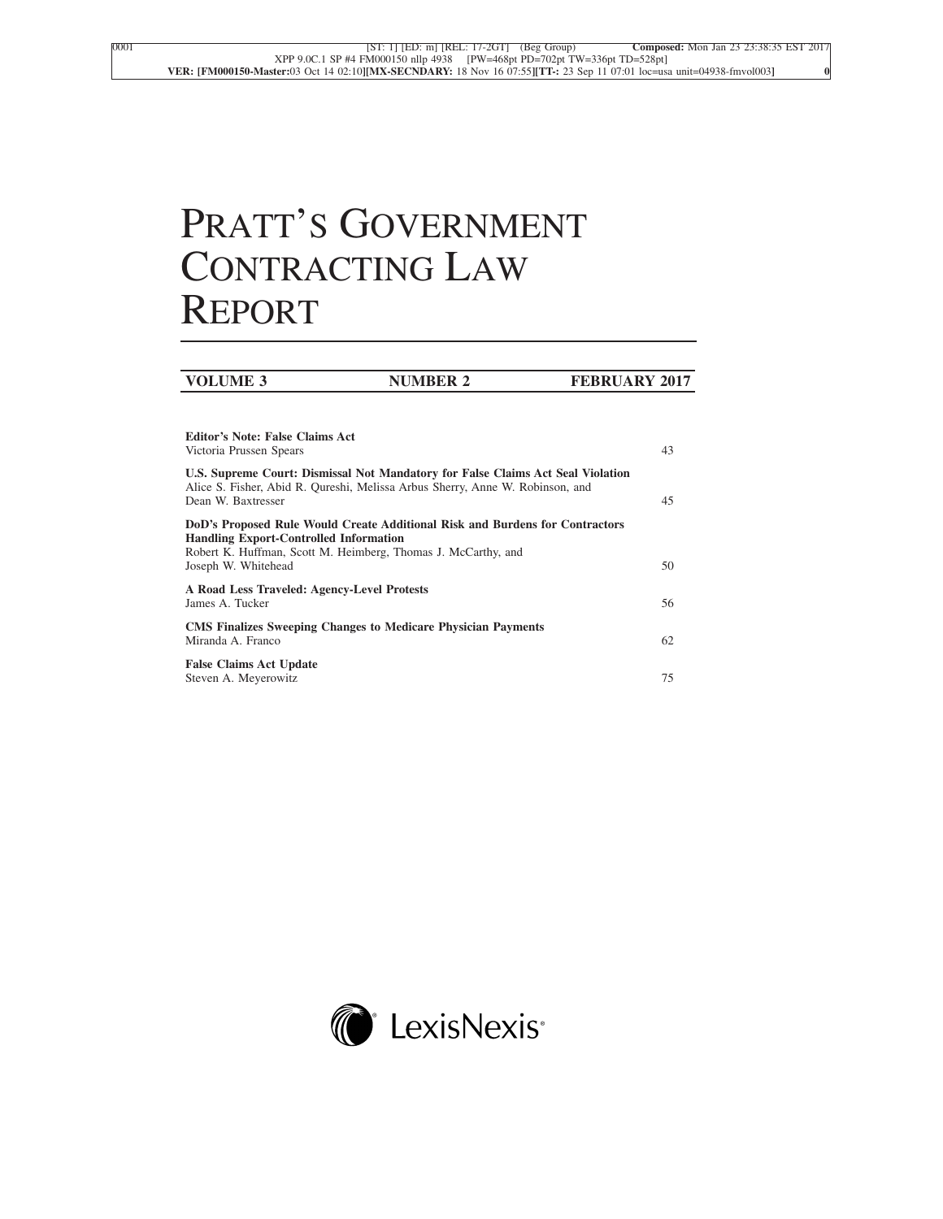# PRATT'S GOVERNMENT CONTRACTING LAW REPORT

| <b>Editor's Note: False Claims Act</b><br>Victoria Prussen Spears                                                                                                                                                     | 43 |
|-----------------------------------------------------------------------------------------------------------------------------------------------------------------------------------------------------------------------|----|
| U.S. Supreme Court: Dismissal Not Mandatory for False Claims Act Seal Violation<br>Alice S. Fisher, Abid R. Qureshi, Melissa Arbus Sherry, Anne W. Robinson, and<br>Dean W. Baxtresser                                | 45 |
| DoD's Proposed Rule Would Create Additional Risk and Burdens for Contractors<br><b>Handling Export-Controlled Information</b><br>Robert K. Huffman, Scott M. Heimberg, Thomas J. McCarthy, and<br>Joseph W. Whitehead | 50 |
| A Road Less Traveled: Agency-Level Protests<br>James A. Tucker                                                                                                                                                        | 56 |
| <b>CMS Finalizes Sweeping Changes to Medicare Physician Payments</b><br>Miranda A. Franco                                                                                                                             | 62 |
| <b>False Claims Act Update</b><br>Steven A. Meyerowitz                                                                                                                                                                | 75 |

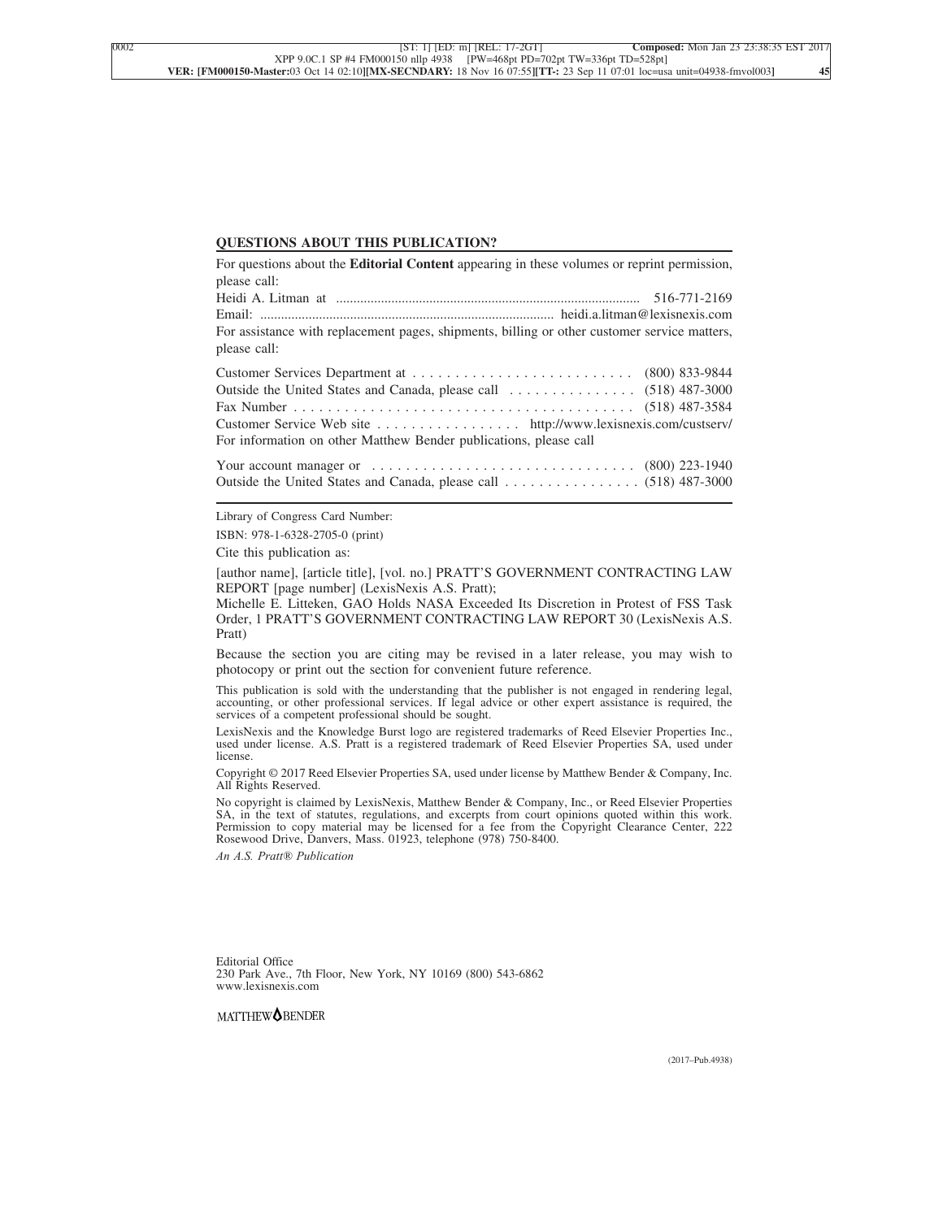#### **QUESTIONS ABOUT THIS PUBLICATION?**

For questions about the **Editorial Content** appearing in these volumes or reprint permission, please call: Heidi A. Litman at ........................................................................................ 516-771-2169

Email: ..................................................................................... heidi.a.litman@lexisnexis.com For assistance with replacement pages, shipments, billing or other customer service matters, please call:

| For information on other Matthew Bender publications, please call                                    |  |
|------------------------------------------------------------------------------------------------------|--|
| Your account manager or $\dots \dots \dots \dots \dots \dots \dots \dots \dots \dots$ (800) 223-1940 |  |
|                                                                                                      |  |

Library of Congress Card Number:

ISBN: 978-1-6328-2705-0 (print)

Cite this publication as:

[author name], [article title], [vol. no.] PRATT'S GOVERNMENT CONTRACTING LAW REPORT [page number] (LexisNexis A.S. Pratt);

Michelle E. Litteken, GAO Holds NASA Exceeded Its Discretion in Protest of FSS Task Order, 1 PRATT'S GOVERNMENT CONTRACTING LAW REPORT 30 (LexisNexis A.S. Pratt)

Because the section you are citing may be revised in a later release, you may wish to photocopy or print out the section for convenient future reference.

This publication is sold with the understanding that the publisher is not engaged in rendering legal, accounting, or other professional services. If legal advice or other expert assistance is required, the services of a competent professional should be sought.

LexisNexis and the Knowledge Burst logo are registered trademarks of Reed Elsevier Properties Inc., used under license. A.S. Pratt is a registered trademark of Reed Elsevier Properties SA, used under license.

Copyright © 2017 Reed Elsevier Properties SA, used under license by Matthew Bender & Company, Inc. All Rights Reserved.

No copyright is claimed by LexisNexis, Matthew Bender & Company, Inc., or Reed Elsevier Properties SA, in the text of statutes, regulations, and excerpts from court opinions quoted within this work. Permission to copy material may be licensed for a fee from the Copyright Clearance Center, 222 Rosewood Drive, Danvers, Mass. 01923, telephone (978) 750-8400.

*An A.S. Pratt® Publication*

Editorial Office 230 Park Ave., 7th Floor, New York, NY 10169 (800) 543-6862 www.lexisnexis.com

MATTHEW<sup>OBENDER</sup>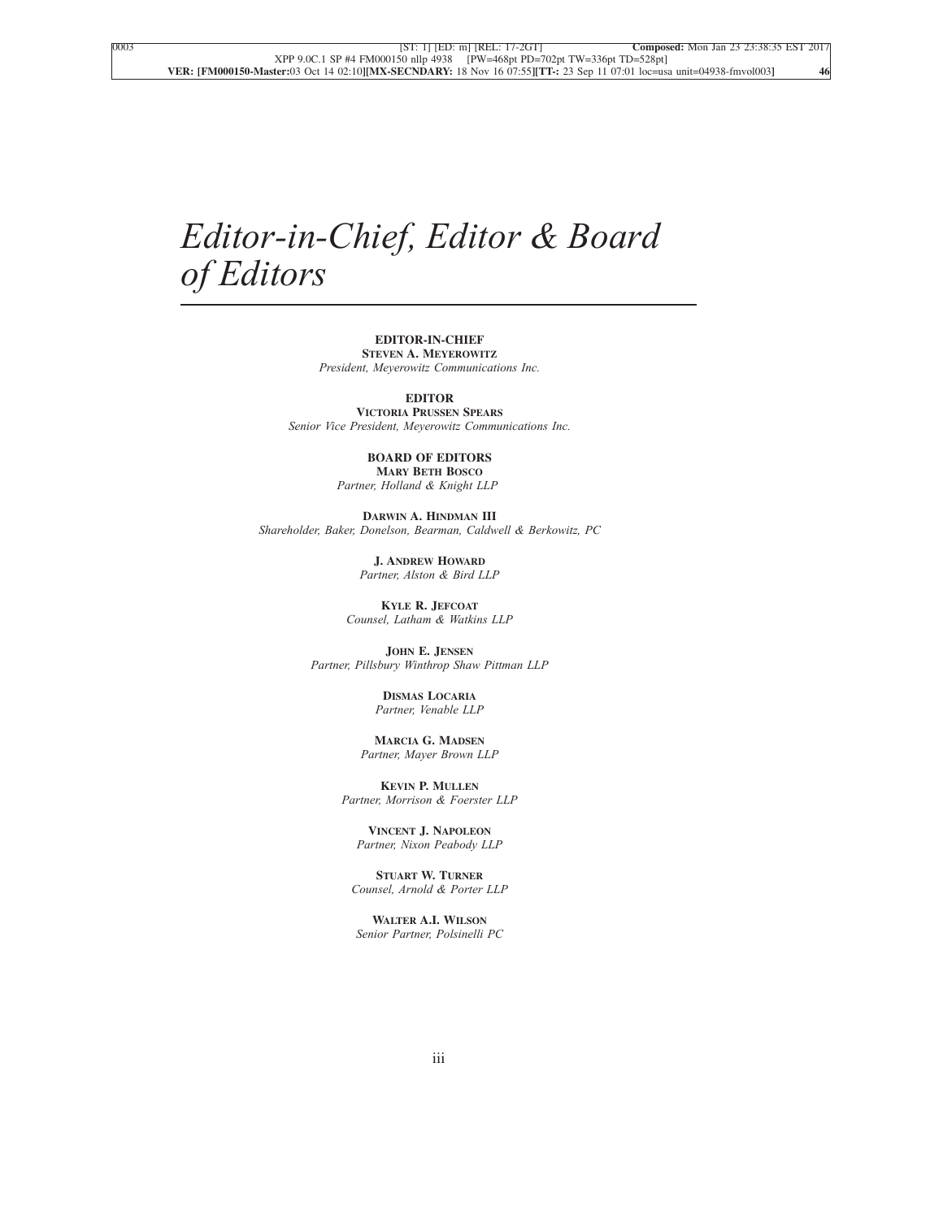# *Editor-in-Chief, Editor & Board of Editors*

**EDITOR-IN-CHIEF STEVEN A. MEYEROWITZ** *President, Meyerowitz Communications Inc.*

**EDITOR**

**VICTORIA PRUSSEN SPEARS** *Senior Vice President, Meyerowitz Communications Inc.*

> **BOARD OF EDITORS MARY BETH BOSCO**

*Partner, Holland & Knight LLP*

**DARWIN A. HINDMAN III** *Shareholder, Baker, Donelson, Bearman, Caldwell & Berkowitz, PC*

> **J. ANDREW HOWARD** *Partner, Alston & Bird LLP*

**KYLE R. JEFCOAT** *Counsel, Latham & Watkins LLP*

**JOHN E. JENSEN** *Partner, Pillsbury Winthrop Shaw Pittman LLP*

> **DISMAS LOCARIA** *Partner, Venable LLP*

**MARCIA G. MADSEN** *Partner, Mayer Brown LLP*

**KEVIN P. MULLEN** *Partner, Morrison & Foerster LLP*

**VINCENT J. NAPOLEON** *Partner, Nixon Peabody LLP*

**STUART W. TURNER** *Counsel, Arnold & Porter LLP*

**WALTER A.I. WILSON** *Senior Partner, Polsinelli PC*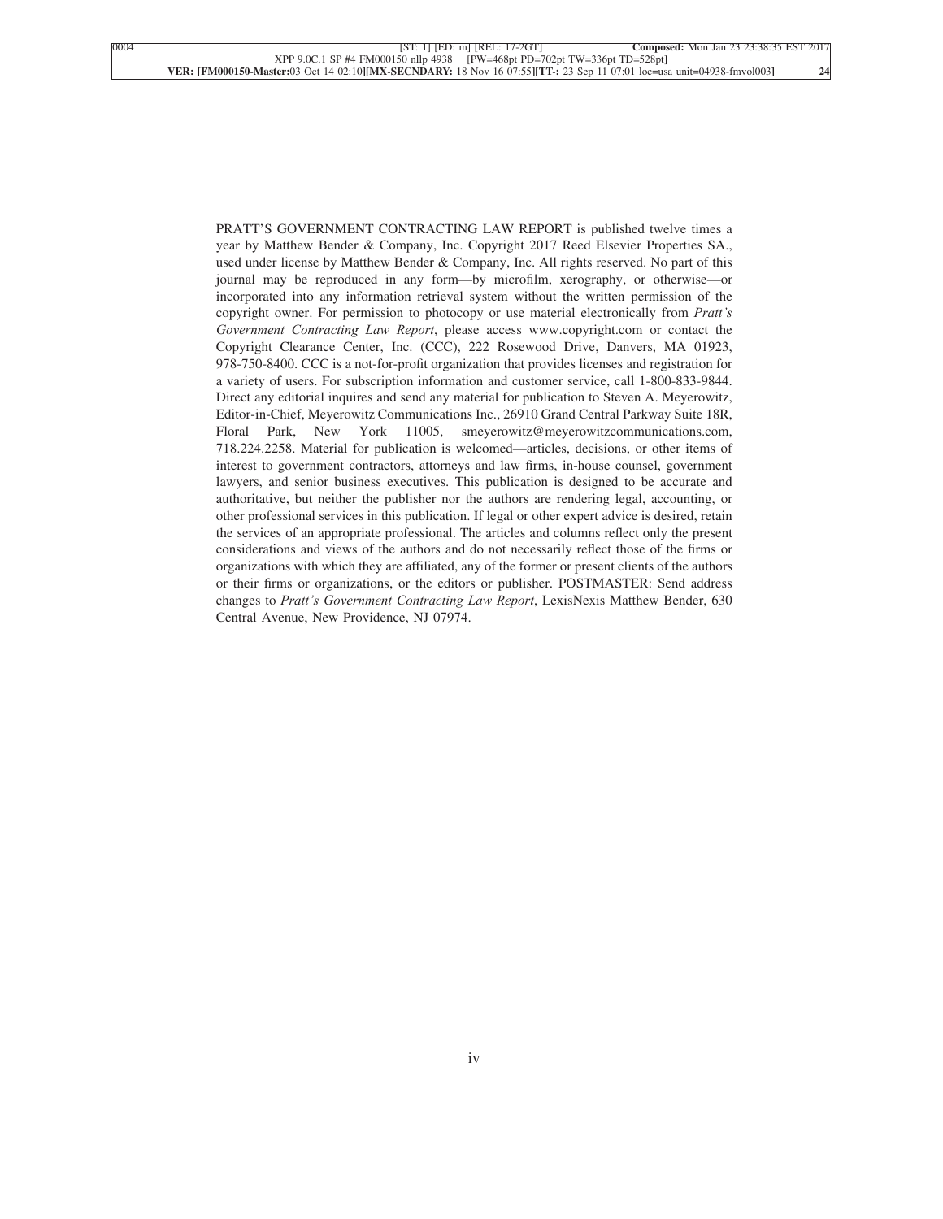PRATT'S GOVERNMENT CONTRACTING LAW REPORT is published twelve times a year by Matthew Bender & Company, Inc. Copyright 2017 Reed Elsevier Properties SA., used under license by Matthew Bender & Company, Inc. All rights reserved. No part of this journal may be reproduced in any form—by microfilm, xerography, or otherwise—or incorporated into any information retrieval system without the written permission of the copyright owner. For permission to photocopy or use material electronically from *Pratt's Government Contracting Law Report*, please access www.copyright.com or contact the Copyright Clearance Center, Inc. (CCC), 222 Rosewood Drive, Danvers, MA 01923, 978-750-8400. CCC is a not-for-profit organization that provides licenses and registration for a variety of users. For subscription information and customer service, call 1-800-833-9844. Direct any editorial inquires and send any material for publication to Steven A. Meyerowitz, Editor-in-Chief, Meyerowitz Communications Inc., 26910 Grand Central Parkway Suite 18R, Floral Park, New York 11005, smeyerowitz@meyerowitzcommunications.com, 718.224.2258. Material for publication is welcomed—articles, decisions, or other items of interest to government contractors, attorneys and law firms, in-house counsel, government lawyers, and senior business executives. This publication is designed to be accurate and authoritative, but neither the publisher nor the authors are rendering legal, accounting, or other professional services in this publication. If legal or other expert advice is desired, retain the services of an appropriate professional. The articles and columns reflect only the present considerations and views of the authors and do not necessarily reflect those of the firms or organizations with which they are affiliated, any of the former or present clients of the authors or their firms or organizations, or the editors or publisher. POSTMASTER: Send address changes to *Pratt's Government Contracting Law Report*, LexisNexis Matthew Bender, 630 Central Avenue, New Providence, NJ 07974.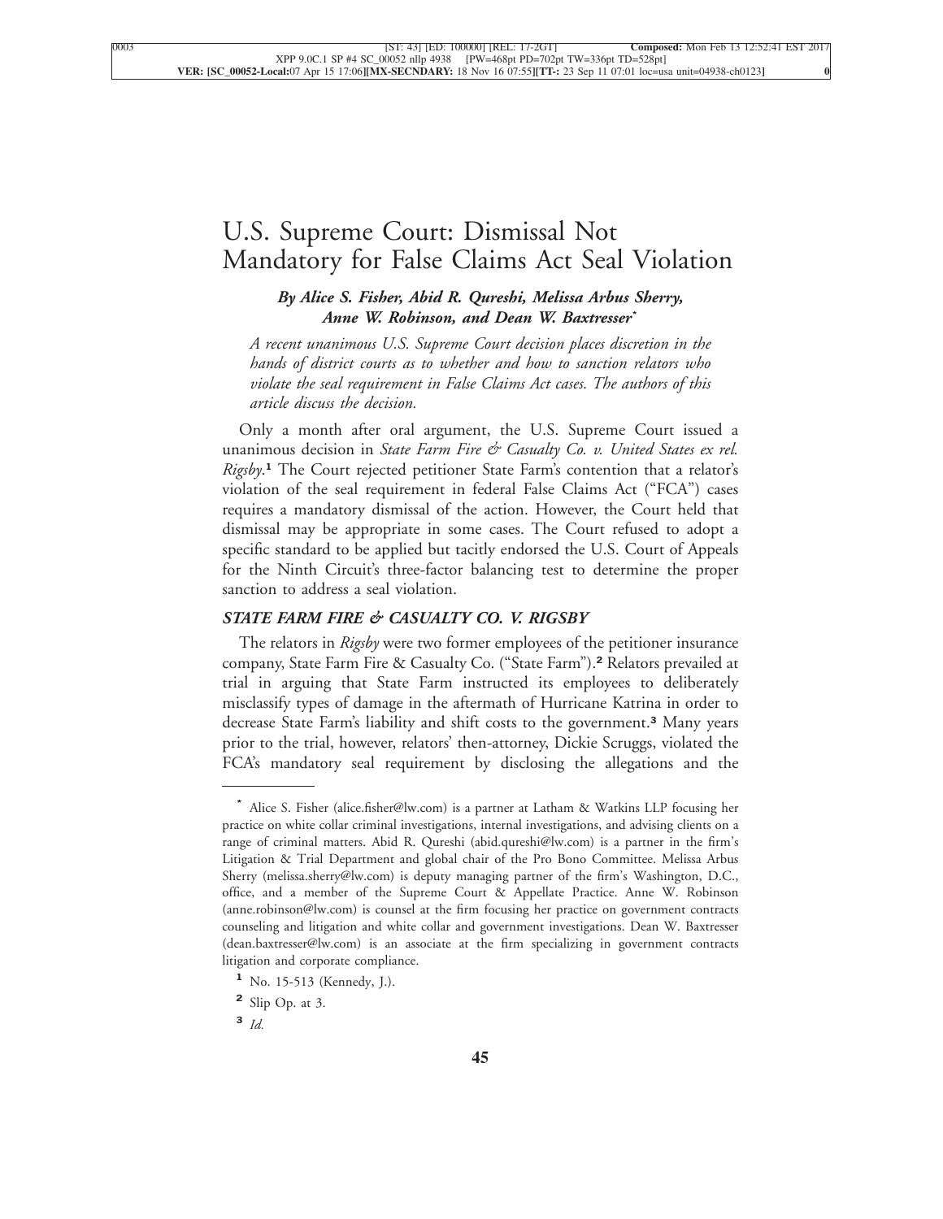## [U.S. Supreme Court: Dismissal Not](xpath-> core:title,  tr:secmain/core:title,  desig_title,  style_01) [Mandatory for False Claims Act Seal Violation](xpath-> core:title,  tr:secmain/core:title,  desig_title,  style_01)

*[By Alice S. Fisher, Abid R. Qureshi, Melissa Arbus Sherry,](xpath-> core:byline,  core:byline,  byline,  style_01) [Anne W. Robinson, and Dean W. Baxtresser](xpath-> core:byline,  core:byline,  byline,  style_01)***\***

*[A recent unanimous U.S. Supreme Court decision places discretion in the](xpath-> core:blockquote-para,  Default,  blockquote,  style_02) [hands of district courts as to whether and how to sanction relators who](xpath-> core:blockquote-para,  Default,  blockquote,  style_02) [violate the seal requirement in False Claims Act cases. The authors of this](xpath-> core:blockquote-para,  Default,  blockquote,  style_02) [article discuss the decision.](xpath-> core:blockquote-para,  Default,  blockquote,  style_02)*

[Only a month after oral argument, the U.S. Supreme Court issued a](xpath-> core:para,  Default,  para-list,  style_01) unanimous decision in *[State Farm Fire & Casualty Co. v. United States ex rel.](xpath-> core:para,  Default,  para-list,  style_01) Rigsby*. **<sup>1</sup>** [The Court rejected petitioner State Farm's contention that a relator's](xpath-> core:para,  Default,  para-list,  style_01) [violation of the seal requirement in federal False Claims Act \("FCA"\) cases](xpath-> core:para,  Default,  para-list,  style_01) [requires a mandatory dismissal of the action. However, the Court held that](xpath-> core:para,  Default,  para-list,  style_01) [dismissal may be appropriate in some cases. The Court refused to adopt a](xpath-> core:para,  Default,  para-list,  style_01) [specific standard to be applied but tacitly endorsed the U.S. Court of Appeals](xpath-> core:para,  Default,  para-list,  style_01) [for the Ninth Circuit's three-factor balancing test to determine the proper](xpath-> core:para,  Default,  para-list,  style_01) [sanction to address a seal violation.](xpath-> core:para,  Default,  para-list,  style_01)

### *[STATE FARM FIRE & CASUALTY CO. V. RIGSBY](xpath-> core:generic-hd,  Default,  core_generic_hd,  style_01)*

The relators in *Rigsby* [were two former employees of the petitioner insurance](xpath-> core:para,  Default,  para-list,  style_01) [company, State Farm Fire & Casualty Co. \("State Farm"\).](xpath-> core:para,  Default,  para-list,  style_01)**<sup>2</sup>** Relators prevailed at [trial in arguing that State Farm instructed its employees to deliberately](xpath-> core:para,  Default,  para-list,  style_01) [misclassify types of damage in the aftermath of Hurricane Katrina in order to](xpath-> core:para,  Default,  para-list,  style_01) [decrease State Farm's liability and shift costs to the government.](xpath-> core:para,  Default,  para-list,  style_01)**<sup>3</sup>** Many years [prior to the trial, however, relators' then-attorney, Dickie Scruggs, violated the](xpath-> core:para,  Default,  para-list,  style_01) [FCA's mandatory seal requirement by disclosing the allegations and the](xpath-> core:para,  Default,  para-list,  style_01)

**<sup>\*</sup>** [Alice S. Fisher \(alice.fisher@lw.com\) is a partner at Latham & Watkins LLP focusing her](xpath-> pnfo:bio-para,  fn:bio-footnote/pnfo:bio-para,  byline,  ) [practice on white collar criminal investigations, internal investigations, and advising clients on a](xpath-> pnfo:bio-para,  fn:bio-footnote/pnfo:bio-para,  byline,  ) [range of criminal matters. Abid R. Qureshi \(abid.qureshi@lw.com\) is a partner in the firm's](xpath-> pnfo:bio-para,  fn:bio-footnote/pnfo:bio-para,  byline,  ) [Litigation & Trial Department and global chair of the Pro Bono Committee. Melissa Arbus](xpath-> pnfo:bio-para,  fn:bio-footnote/pnfo:bio-para,  byline,  ) [Sherry \(melissa.sherry@lw.com\) is deputy managing partner of the firm's Washington, D.C.,](xpath-> pnfo:bio-para,  fn:bio-footnote/pnfo:bio-para,  byline,  ) [office, and a member of the Supreme Court & Appellate Practice. Anne W. Robinson](xpath-> pnfo:bio-para,  fn:bio-footnote/pnfo:bio-para,  byline,  ) [\(anne.robinson@lw.com\) is counsel at the firm focusing her practice on government contracts](xpath-> pnfo:bio-para,  fn:bio-footnote/pnfo:bio-para,  byline,  ) [counseling and litigation and white collar and government investigations. Dean W. Baxtresser](xpath-> pnfo:bio-para,  fn:bio-footnote/pnfo:bio-para,  byline,  ) [\(dean.baxtresser@lw.com\) is an associate at the firm specializing in government contracts](xpath-> pnfo:bio-para,  fn:bio-footnote/pnfo:bio-para,  byline,  ) [litigation and corporate compliance.](xpath-> pnfo:bio-para,  fn:bio-footnote/pnfo:bio-para,  byline,  )

**<sup>1</sup>** [No. 15-513 \(Kennedy, J.\).](xpath-> fn:footnote,  fn:footnote,  footnote,  style_03)

**<sup>2</sup>** [Slip Op. at 3.](xpath-> fn:footnote,  fn:footnote,  footnote,  style_03)

**<sup>3</sup>** *[Id.](xpath-> fn:footnote,  fn:footnote,  footnote,  style_03)*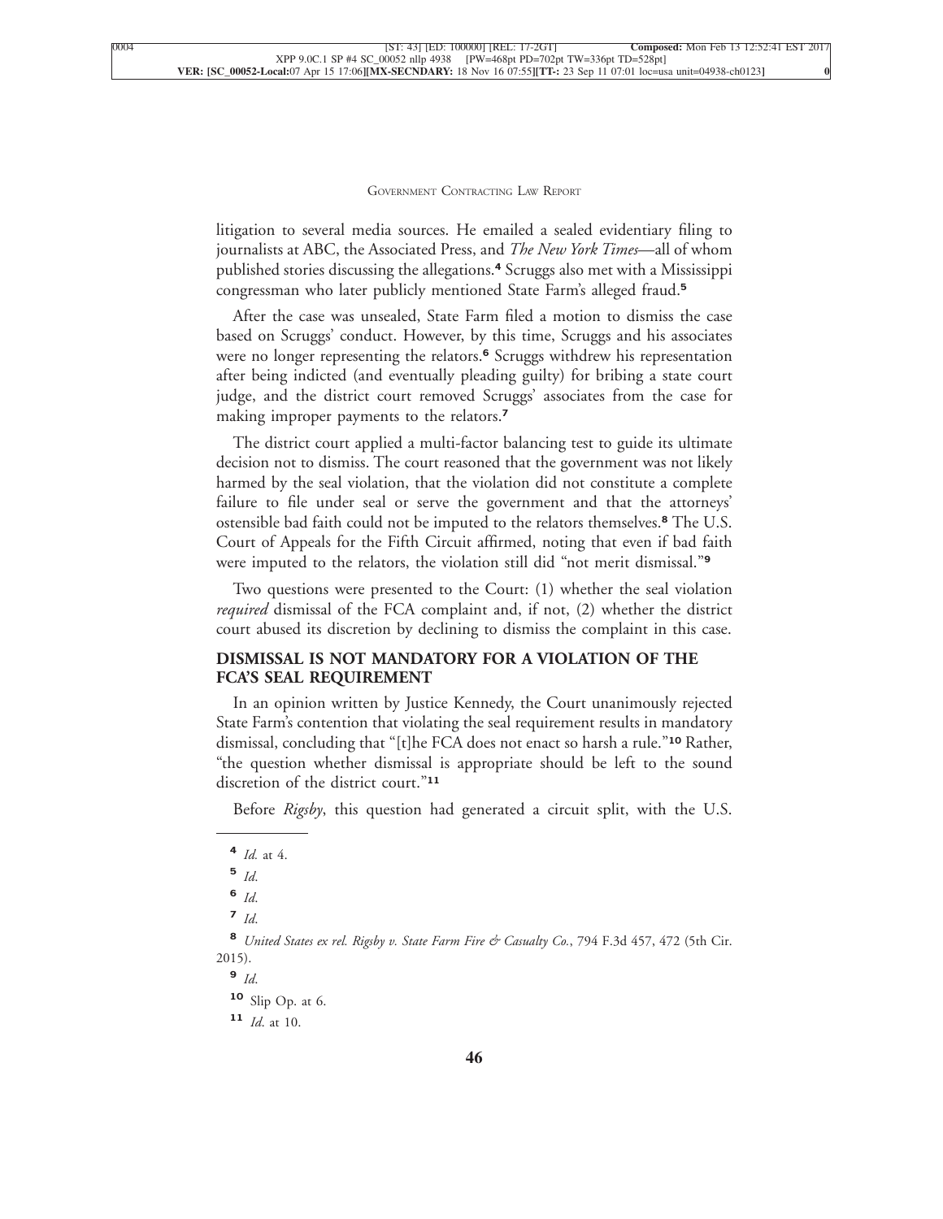litigation to several media sources. He emailed a sealed evidentiary filing to journalists at ABC, the Associated Press, and *The New York Times*—all of whom published stories discussing the allegations.**<sup>4</sup>** Scruggs also met with a Mississippi [congressman who later publicly mentioned State Farm's alleged fraud.](xpath-> core:para,  Default,  para-list,  style_01)**<sup>5</sup>**

[After the case was unsealed, State Farm filed a motion to dismiss the case](xpath-> core:para,  Default,  para-list,  style_01) [based on Scruggs' conduct. However, by this time, Scruggs and his associates](xpath-> core:para,  Default,  para-list,  style_01) [were no longer representing the relators.](xpath-> core:para,  Default,  para-list,  style_01)**<sup>6</sup>** Scruggs withdrew his representation [after being indicted \(and eventually pleading guilty\) for bribing a state court](xpath-> core:para,  Default,  para-list,  style_01) [judge, and the district court removed Scruggs' associates from the case for](xpath-> core:para,  Default,  para-list,  style_01) [making improper payments to the relators.](xpath-> core:para,  Default,  para-list,  style_01)**<sup>7</sup>**

[The district court applied a multi-factor balancing test to guide its ultimate](xpath-> core:para,  Default,  para-list,  style_01) [decision not to dismiss. The court reasoned that the government was not likely](xpath-> core:para,  Default,  para-list,  style_01) [harmed by the seal violation, that the violation did not constitute a complete](xpath-> core:para,  Default,  para-list,  style_01) [failure to file under seal or serve the government and that the attorneys'](xpath-> core:para,  Default,  para-list,  style_01) [ostensible bad faith could not be imputed to the relators themselves.](xpath-> core:para,  Default,  para-list,  style_01)**<sup>8</sup>** The U.S. [Court of Appeals for the Fifth Circuit affirmed, noting that even if bad faith](xpath-> core:para,  Default,  para-list,  style_01) [were imputed to the relators, the violation still did "not merit dismissal."](xpath-> core:para,  Default,  para-list,  style_01)**<sup>9</sup>**

[Two questions were presented to the Court: \(1\) whether the seal violation](xpath-> core:para,  Default,  para-list,  style_01) *required* [dismissal of the FCA complaint and, if not, \(2\) whether the district](xpath-> core:para,  Default,  para-list,  style_01) [court abused its discretion by declining to dismiss the complaint in this case.](xpath-> core:para,  Default,  para-list,  style_01)

### **[DISMISSAL IS NOT MANDATORY FOR A VIOLATION OF THE](xpath-> core:generic-hd,  Default,  core_generic_hd,  style_01) [FCA'S SEAL REQUIREMENT](xpath-> core:generic-hd,  Default,  core_generic_hd,  style_01)**

[In an opinion written by Justice Kennedy, the Court unanimously rejected](xpath-> core:para,  Default,  para-list,  style_01) [State Farm's contention that violating the seal requirement results in mandatory](xpath-> core:para,  Default,  para-list,  style_01) [dismissal, concluding that "\[t\]he FCA does not enact so harsh a rule."](xpath-> core:para,  Default,  para-list,  style_01)**<sup>10</sup>** Rather, ["the question whether dismissal is appropriate should be left to the sound](xpath-> core:para,  Default,  para-list,  style_01) [discretion of the district court."](xpath-> core:para,  Default,  para-list,  style_01)**<sup>11</sup>**

Before *Rigsby*[, this question had generated a circuit split, with the U.S.](xpath-> core:para,  Default,  para-list,  style_01)

**4** *Id.* [at 4.](xpath-> fn:footnote,  fn:footnote,  footnote,  style_03)

**<sup>11</sup>** *Id*[. at 10.](xpath-> fn:footnote,  fn:footnote,  footnote,  style_03)

**<sup>5</sup>** *[Id](xpath-> fn:footnote,  fn:footnote,  footnote,  style_03)*.

**<sup>6</sup>** *[Id](xpath-> fn:footnote,  fn:footnote,  footnote,  style_03)*.

**<sup>7</sup>** *[Id](xpath-> fn:footnote,  fn:footnote,  footnote,  style_03)*.

**<sup>8</sup>** *[United States ex rel. Rigsby v. State Farm Fire & Casualty Co.](xpath-> fn:footnote,  fn:footnote,  footnote,  style_03)*, 794 F.3d 457, 472 (5th Cir. [2015\).](xpath-> fn:footnote,  fn:footnote,  footnote,  style_03)

**<sup>9</sup>** *[Id](xpath-> fn:footnote,  fn:footnote,  footnote,  style_03)*.

**<sup>10</sup>** [Slip Op. at 6.](xpath-> fn:footnote,  fn:footnote,  footnote,  style_03)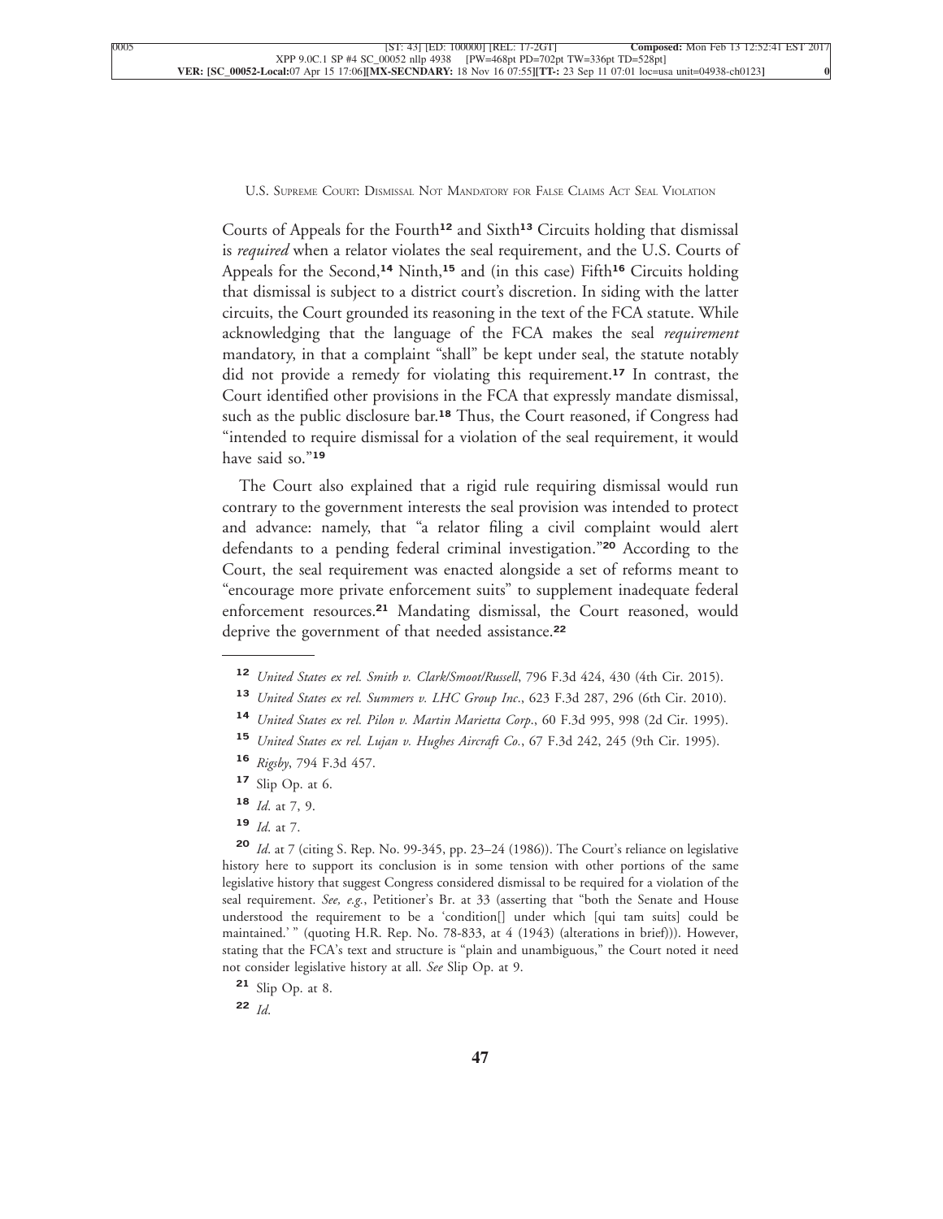Courts of Appeals for the Fourth**<sup>12</sup>** and Sixth**<sup>13</sup>** Circuits holding that dismissal is *required* when a relator violates the seal requirement, and the U.S. Courts of Appeals for the Second,**<sup>14</sup>** Ninth,**<sup>15</sup>** and (in this case) Fifth**<sup>16</sup>** Circuits holding that dismissal is subject to a district court's discretion. In siding with the latter circuits, the Court grounded its reasoning in the text of the FCA statute. While acknowledging that the language of the FCA makes the seal *requirement* mandatory, in that a complaint "shall" be kept under seal, the statute notably did not provide a remedy for violating this requirement.**<sup>17</sup>** In contrast, the Court identified other provisions in the FCA that expressly mandate dismissal, such as the public disclosure bar.**<sup>18</sup>** Thus, the Court reasoned, if Congress had "intended to require dismissal for a violation of the seal requirement, it would [have said so."](xpath-> core:para,  Default,  para-list,  style_01)**<sup>19</sup>**

[The Court also explained that a rigid rule requiring dismissal would run](xpath-> core:para,  Default,  para-list,  style_01) [contrary to the government interests the seal provision was intended to protect](xpath-> core:para,  Default,  para-list,  style_01) [and advance: namely, that "a relator filing a civil complaint would alert](xpath-> core:para,  Default,  para-list,  style_01) [defendants to a pending federal criminal investigation."](xpath-> core:para,  Default,  para-list,  style_01)**<sup>20</sup>** According to the [Court, the seal requirement was enacted alongside a set of reforms meant to](xpath-> core:para,  Default,  para-list,  style_01) ["encourage more private enforcement suits" to supplement inadequate federal](xpath-> core:para,  Default,  para-list,  style_01) enforcement resources.**<sup>21</sup>** [Mandating dismissal, the Court reasoned, would](xpath-> core:para,  Default,  para-list,  style_01) [deprive the government of that needed assistance.](xpath-> core:para,  Default,  para-list,  style_01)**<sup>22</sup>**

- **<sup>12</sup>** *[United States ex rel. Smith v. Clark/Smoot/Russell](xpath-> fn:footnote,  fn:footnote,  footnote,  style_03)*, 796 F.3d 424, 430 (4th Cir. 2015).
- **<sup>13</sup>** *[United States ex rel. Summers v. LHC Group Inc](xpath-> fn:footnote,  fn:footnote,  footnote,  style_03)*., 623 F.3d 287, 296 (6th Cir. 2010).
- **<sup>14</sup>** *[United States ex rel. Pilon v. Martin Marietta Corp](xpath-> fn:footnote,  fn:footnote,  footnote,  style_03)*., 60 F.3d 995, 998 (2d Cir. 1995).
- **<sup>15</sup>** *[United States ex rel. Lujan v. Hughes Aircraft Co.](xpath-> fn:footnote,  fn:footnote,  footnote,  style_03)*, 67 F.3d 242, 245 (9th Cir. 1995).
- **<sup>16</sup>** *Rigsby*[, 794 F.3d 457.](xpath-> fn:footnote,  fn:footnote,  footnote,  style_03)
- **<sup>17</sup>** [Slip Op. at 6.](xpath-> fn:footnote,  fn:footnote,  footnote,  style_03)
- **<sup>18</sup>** *Id*[. at 7, 9.](xpath-> fn:footnote,  fn:footnote,  footnote,  style_03)
- **<sup>19</sup>** *Id*[. at 7.](xpath-> fn:footnote,  fn:footnote,  footnote,  style_03)

**<sup>20</sup>** *Id*[. at 7 \(citing S. Rep. No. 99-345, pp. 23–24 \(1986\)\). The Court's reliance on legislative](xpath-> fn:footnote,  fn:footnote,  footnote,  style_03) [history here to support its conclusion is in some tension with other portions of the same](xpath-> fn:footnote,  fn:footnote,  footnote,  style_03) [legislative history that suggest Congress considered dismissal to be required for a violation of the](xpath-> fn:footnote,  fn:footnote,  footnote,  style_03) seal requirement. *See, e.g.*[, Petitioner's Br. at 33 \(asserting that "both the Senate and House](xpath-> fn:footnote,  fn:footnote,  footnote,  style_03) [understood the requirement to be a 'condition\[\] under which \[qui tam suits\] could be](xpath-> fn:footnote,  fn:footnote,  footnote,  style_03) [maintained.' " \(quoting H.R. Rep. No. 78-833, at 4 \(1943\) \(alterations in brief\)\)\). However,](xpath-> fn:footnote,  fn:footnote,  footnote,  style_03) [stating that the FCA's text and structure is "plain and unambiguous," the Court noted it need](xpath-> fn:footnote,  fn:footnote,  footnote,  style_03) [not consider legislative history at all.](xpath-> fn:footnote,  fn:footnote,  footnote,  style_03) *See* Slip Op. at 9.

**<sup>22</sup>** *[Id](xpath-> fn:footnote,  fn:footnote,  footnote,  style_03)*.

**<sup>21</sup>** [Slip Op. at 8.](xpath-> fn:footnote,  fn:footnote,  footnote,  style_03)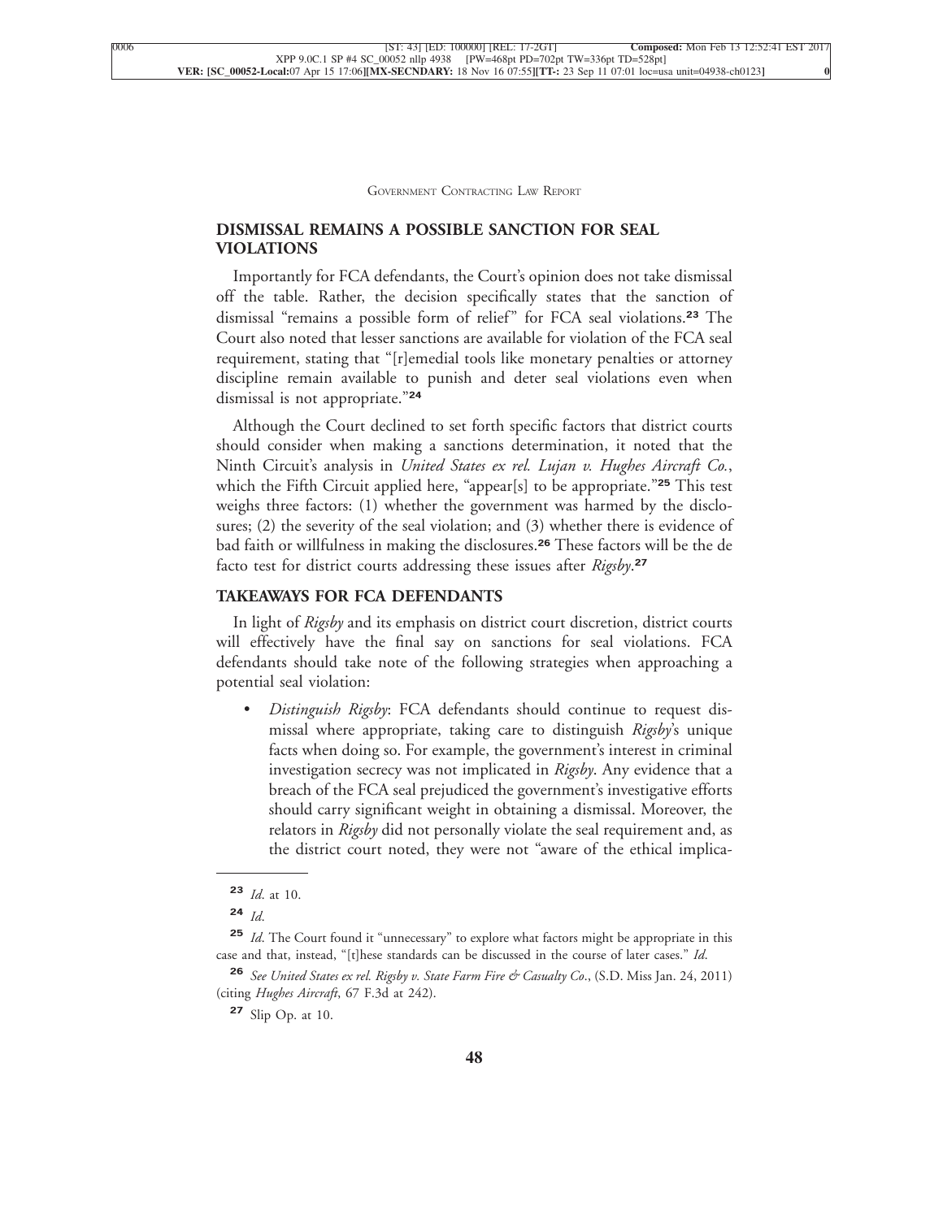#### **[DISMISSAL REMAINS A POSSIBLE SANCTION FOR SEAL](xpath-> core:generic-hd,  Default,  core_generic_hd,  style_01) [VIOLATIONS](xpath-> core:generic-hd,  Default,  core_generic_hd,  style_01)**

[Importantly for FCA defendants, the Court's opinion does not take dismissal](xpath-> core:para,  Default,  para-list,  style_01) [off the table. Rather, the decision specifically states that the sanction of](xpath-> core:para,  Default,  para-list,  style_01) [dismissal "remains a possible form of relief" for FCA seal violations.](xpath-> core:para,  Default,  para-list,  style_01)**<sup>23</sup>** The [Court also noted that lesser sanctions are available for violation of the FCA seal](xpath-> core:para,  Default,  para-list,  style_01) [requirement, stating that "\[r\]emedial tools like monetary penalties or attorney](xpath-> core:para,  Default,  para-list,  style_01) [discipline remain available to punish and deter seal violations even when](xpath-> core:para,  Default,  para-list,  style_01) [dismissal is not appropriate."](xpath-> core:para,  Default,  para-list,  style_01)**<sup>24</sup>**

[Although the Court declined to set forth specific factors that district courts](xpath-> core:para,  Default,  para-list,  style_01) [should consider when making a sanctions determination, it noted that the](xpath-> core:para,  Default,  para-list,  style_01) Ninth Circuit's analysis in *[United States ex rel. Lujan v. Hughes Aircraft Co.](xpath-> core:para,  Default,  para-list,  style_01)*, [which the Fifth Circuit applied here, "appear\[s\] to be appropriate."](xpath-> core:para,  Default,  para-list,  style_01)**<sup>25</sup>** This test [weighs three factors: \(1\) whether the government was harmed by the disclo](xpath-> core:para,  Default,  para-list,  style_01)[sures; \(2\) the severity of the seal violation; and \(3\) whether there is evidence of](xpath-> core:para,  Default,  para-list,  style_01) [bad faith or willfulness in making the disclosures.](xpath-> core:para,  Default,  para-list,  style_01)**<sup>26</sup>** These factors will be the de [facto test for district courts addressing these issues after](xpath-> core:para,  Default,  para-list,  style_01) *Rigsby*. **27**

#### **[TAKEAWAYS FOR FCA DEFENDANTS](xpath-> core:generic-hd,  Default,  core_generic_hd,  style_01)**

In light of *Rigsby* [and its emphasis on district court discretion, district courts](xpath-> core:para,  Default,  para-list,  style_01) [will effectively have the final say on sanctions for seal violations. FCA](xpath-> core:para,  Default,  para-list,  style_01) [defendants should take note of the following strategies when approaching a](xpath-> core:para,  Default,  para-list,  style_01) [potential seal violation:](xpath-> core:para,  Default,  para-list,  style_01)

[•](xpath-> core:enum,  core:listitem/core:enum,  para-list,  style_01) *Distinguish Rigsby*[: FCA defendants should continue to request dis](xpath-> core:para,  core:listitem/core:para,  para-list,  style_01)[missal where appropriate, taking care to distinguish](xpath-> core:para,  core:listitem/core:para,  para-list,  style_01) *Rigsby*'s unique [facts when doing so. For example, the government's interest in criminal](xpath-> core:para,  core:listitem/core:para,  para-list,  style_01) [investigation secrecy was not implicated in](xpath-> core:para,  core:listitem/core:para,  para-list,  style_01) *Rigsby*. Any evidence that a [breach of the FCA seal prejudiced the government's investigative efforts](xpath-> core:para,  core:listitem/core:para,  para-list,  style_01) [should carry significant weight in obtaining a dismissal. Moreover, the](xpath-> core:para,  core:listitem/core:para,  para-list,  style_01) relators in *Rigsby* [did not personally violate the seal requirement and, as](xpath-> core:para,  core:listitem/core:para,  para-list,  style_01) [the district court noted, they were not "aware of the ethical implica-](xpath-> core:para,  core:listitem/core:para,  para-list,  style_01)

**<sup>27</sup>** [Slip Op. at 10.](xpath-> fn:footnote,  fn:footnote,  footnote,  style_03)

**<sup>23</sup>** *Id*[. at 10.](xpath-> fn:footnote,  fn:footnote,  footnote,  style_03)

**<sup>24</sup>** *[Id](xpath-> fn:footnote,  fn:footnote,  footnote,  style_03)*.

**<sup>25</sup>** *Id*[. The Court found it "unnecessary" to explore what factors might be appropriate in this](xpath-> fn:footnote,  fn:footnote,  footnote,  style_03) [case and that, instead, "\[t\]hese standards can be discussed in the course of later cases."](xpath-> fn:footnote,  fn:footnote,  footnote,  style_03) *Id*.

**<sup>26</sup>** *[See United States ex rel. Rigsby v. State Farm Fire & Casualty Co](xpath-> fn:footnote,  fn:footnote,  footnote,  style_03)*., (S.D. Miss Jan. 24, 2011) (citing *Hughes Aircraft*[, 67 F.3d at 242\).](xpath-> fn:footnote,  fn:footnote,  footnote,  style_03)